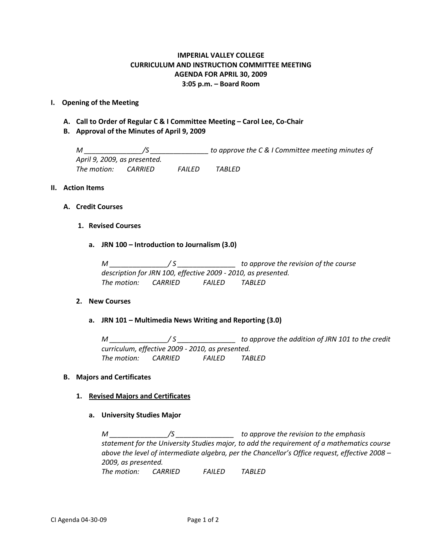# **IMPERIAL VALLEY COLLEGE CURRICULUM AND INSTRUCTION COMMITTEE MEETING AGENDA FOR APRIL 30, 2009 3:05 p.m. – Board Room**

## **I. Opening of the Meeting**

- **A. Call to Order of Regular C & I Committee Meeting – Carol Lee, Co-Chair**
- **B. Approval of the Minutes of April 9, 2009**

*M \_\_\_\_\_\_\_\_\_\_\_\_\_\_\_/S \_\_\_\_\_\_\_\_\_\_\_\_\_\_\_ to approve the C & I Committee meeting minutes of April 9, 2009, as presented. The motion: CARRIED FAILED TABLED*

#### **II. Action Items**

## **A. Credit Courses**

## **1. Revised Courses**

**a. JRN 100 – Introduction to Journalism (3.0)**

*M \_\_\_\_\_\_\_\_\_\_\_\_\_\_\_/ S \_\_\_\_\_\_\_\_\_\_\_\_\_\_\_ to approve the revision of the course description for JRN 100, effective 2009 - 2010, as presented. The motion: CARRIED FAILED TABLED*

#### **2. New Courses**

## **a. JRN 101 – Multimedia News Writing and Reporting (3.0)**

*M \_\_\_\_\_\_\_\_\_\_\_\_\_\_\_/ S \_\_\_\_\_\_\_\_\_\_\_\_\_\_\_ to approve the addition of JRN 101 to the credit curriculum, effective 2009 - 2010, as presented. The motion: CARRIED FAILED TABLED*

#### **B. Majors and Certificates**

#### **1. Revised Majors and Certificates**

**a. University Studies Major**

*M \_\_\_\_\_\_\_\_\_\_\_\_\_\_\_/S \_\_\_\_\_\_\_\_\_\_\_\_\_\_\_ to approve the revision to the emphasis statement for the University Studies major, to add the requirement of a mathematics course above the level of intermediate algebra, per the Chancellor's Office request, effective 2008 – 2009, as presented. The motion: CARRIED FAILED TABLED*